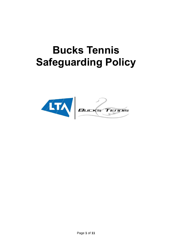# **Bucks Tennis Safeguarding Policy**

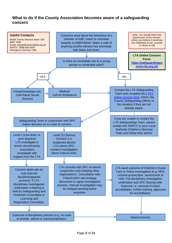# **What to do if the County Association becomes aware of a safeguarding concern**

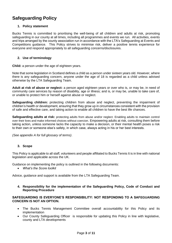# **Safeguarding Policy**

## **1. Policy statement**

Bucks Tennis is committed to prioritising the well-being of all children and adults at risk, promoting safeguarding in our county at all times, including all programmes and events we run. All activities, events and trips arranged by the county association run in accordance with the LTA's Safeguarding at Events and Competitions guidance. This Policy strives to minimise risk, deliver a positive tennis experience for everyone and respond appropriately to all safeguarding concerns/disclosures.

## **2. Use of terminology**

**Child:** a person under the age of eighteen years.

Note that some legislation in Scotland defines a child as a person under sixteen years old. However, where there is any safeguarding concern, anyone under the age of 18 is regarded as a child unless advised otherwise by the LTA Safeguarding Team.

**Adult at risk of abuse or neglect:** a person aged eighteen years or over who is, or may be, in need of community care services by reason of disability, age or illness; and is, or may be, unable to take care of, or unable to protect him or herself against abuse or neglect.

**Safeguarding children:** protecting children from abuse and neglect, preventing the impairment of children's health or development, ensuring that they grow up in circumstances consistent with the provision of safe and effective care, and taking action to enable all children to have the best life chances.

**Safeguarding adults at risk:** protecting adults from abuse and/or neglect. Enabling adults to maintain control over their lives and make informed choices without coercion. Empowering adults at risk, consulting them before taking action, unless someone lacks the capacity to make a decision, or their mental health poses a risk to their own or someone else's safety, in which case, always acting in his or her best interests.

*(See appendix A for full glossary of terms)*.

## **3. Scope**

This Policy is applicable to all staff, volunteers and people affiliated to Bucks Tennis It is in line with national legislation and applicable across the UK.

Guidance on implementing the policy is outlined in the following documents:

• *What's the Score toolkit*

Advice, guidance and support is available from the LTA Safeguarding Team.

**4. Responsibility for the implementation of the Safeguarding Policy, Code of Conduct and Reporting Procedure**

## **SAFEGUARDING IS EVERYONE'S RESPONSIBILITY: NOT RESPONDING TO A SAFEGUARDING CONCERN IS NOT AN OPTION.**

- The Bucks Tennis Management Committee overall accountability for this Policy and its implementation
- Our County Safeguarding Officer is responsible for updating this Policy in line with legislative, county and LTA developments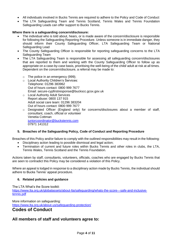- All individuals involved in Bucks Tennis are required to adhere to the Policy and Code of Conduct
- The LTA Safeguarding Team and Tennis Scotland, Tennis Wales and Tennis Foundation Safeguarding Leads can offer support to Bucks Tennis.

## **Where there is a safeguarding concern/disclosure:**

- The individual who is told about, hears, or is made aware of the concern/disclosure is responsible for following the Safeguarding Reporting Procedure. Unless someone is in immediate danger, they should inform their County Safeguarding Officer, LTA Safeguarding Team or National Safeguarding Lead
- The County Safeguarding Officer is responsible for reporting safeguarding concerns to the LTA Safeguarding Team
- The LTA Safeguarding Team is responsible for assessing all safeguarding concern/disclosures that are reported to them and working with the County Safeguarding Officer to follow up as appropriate on a case-by-case basis, prioritising the well-being of the child/ adult at risk at all times. Dependent on the concern/disclosure, a referral may be made to:
	- $\circ$  The police in an emergency (999);
	- o Local Authority Children's Services: Telephone: 01296 383962 Out of hours contact: 0800 999 7677 Email: secure-cypfirstresponse@buckscc.gcsx.gov.uk
	- o Local Authority Adult Services Report abuse: 0800 137 915 Adult social care team: 01296 383204 Out of hours contact: 0800 999 7677
	- o Designated Officer (England only) for concerns/disclosures about a member of staff, consultant, coach, official or volunteer Venetia Cottman [juniorcoordinator@buckstennis.com](mailto:juniorcoordinator@buckstennis.com) 07971 141312

## **5. Breaches of the Safeguarding Policy, Code of Conduct and Reporting Procedure**

Breaches of this Policy and/or failure to comply with the outlined responsibilities may result in the following:

- Disciplinary action leading to possible dismissal and legal action;
- Termination of current and future roles within Bucks Tennis and other roles in clubs, the LTA, Tennis Wales, Tennis Scotland and the Tennis Foundation*.*

Actions taken by staff, consultants, volunteers, officials, coaches who are engaged by Bucks Tennis that are seen to contradict this Policy may be considered a violation of this Policy.

Where an appeal is lodged in response to a disciplinary action made by Bucks Tennis, the individual should adhere to Bucks Tennis' appeal procedure.

#### **6. Related policies and guidance**

The LTA What's the Score toolkit:

[https://www.lta.org.uk/globalassets/about-lta/safeguarding/whats-the-score---safe-and-inclusive](https://www.lta.org.uk/globalassets/about-lta/safeguarding/whats-the-score---safe-and-inclusive-tennis.pdf)[tennis.pdf](https://www.lta.org.uk/globalassets/about-lta/safeguarding/whats-the-score---safe-and-inclusive-tennis.pdf)

More information on safeguarding: <https://www.lta.org.uk/about-us/safeguarding-protection/>

# **Codes of Conduct**

## **All members of staff and volunteers agree to:**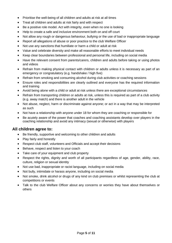- Prioritise the well-being of all children and adults at risk at all times
- Treat all children and adults at risk fairly and with respect
- Be a positive role model. Act with integrity, even when no one is looking
- Help to create a safe and inclusive environment both on and off court
- Not allow any rough or dangerous behaviour, bullying or the use of bad or inappropriate language
- Report all allegations of abuse or poor practice to the club Welfare Officer
- Not use any sanctions that humiliate or harm a child or adult at risk
- Value and celebrate diversity and make all reasonable efforts to meet individual needs
- Keep clear boundaries between professional and personal life, including on social media
- Have the relevant consent from parents/carers, children and adults before taking or using photos and videos
- Refrain from making physical contact with children or adults unless it is necessary as part of an emergency or congratulatory (e.g. handshake / high five)
- Refrain from smoking and consuming alcohol during club activities or coaching sessions
- Ensure roles and responsibilities are clearly outlined and everyone has the required information and training
- Avoid being alone with a child or adult at risk unless there are exceptional circumstances
- Refrain from transporting children or adults at risk, unless this is required as part of a club activity (e.g. away match) and there is another adult in the vehicle
- Not abuse, neglect, harm or discriminate against anyone; or act in a way that may be interpreted as such
- Not have a relationship with anyone under 18 for whom they are coaching or responsible for
- Be acutely aware of the power that coaches and coaching assistants develop over players in the coaching relationship and avoid any intimacy (sexual or otherwise) with players

## **All children agree to:**

- Be friendly, supportive and welcoming to other children and adults
- Play fairly and honestly
- Respect club staff, volunteers and Officials and accept their decisions
- Behave, respect and listen to your coach
- Take care of your equipment and club property
- Respect the rights, dignity and worth of all participants regardless of age, gender, ability, race, culture, religion or sexual identity
- Not use bad, inappropriate or racist language, including on social media
- Not bully, intimidate or harass anyone, including on social media
- Not smoke, drink alcohol or drugs of any kind on club premises or whilst representing the club at competitions or events
- Talk to the club Welfare Officer about any concerns or worries they have about themselves or others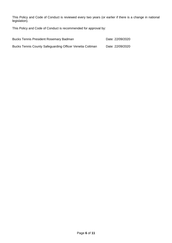This Policy and Code of Conduct is reviewed every two years (or earlier if there is a change in national legislation).

This Policy and Code of Conduct is recommended for approval by:

| <b>Bucks Tennis President Rosemary Badman</b>            | Date: 22/09/2020 |
|----------------------------------------------------------|------------------|
| Bucks Tennis County Safeguarding Officer Venetia Cottman | Date: 22/09/2020 |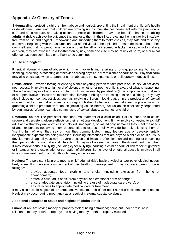# **Appendix A: Glossary of Terms**

**Safeguarding:** protecting **children** from abuse and neglect, preventing the impairment of children's health or development, ensuring that children are growing up in circumstances consistent with the provision of safe and effective care, and taking action to enable all children to have the best life chances. Enabling **adults at risk** to achieve the outcomes that matter to them in their life; protecting their right to live in safety, free from abuse and neglect. Empowering and supporting them to make choices, stay safe and raise any concerns. Beginning with the assumption that an individual is best-placed to make decisions about their own wellbeing, taking proportional action on their behalf only if someone lacks the capacity to make a decision, they are exposed to a life-threatening risk, someone else may be at risk of harm, or a criminal offence has been committed or is likely to be committed.

## **Abuse and neglect**

**Physical abuse:** A form of abuse which may involve hitting, shaking, throwing, poisoning, burning or scalding, drowning, suffocating or otherwise causing physical harm to a child or adult at risk. Physical harm may also be caused when a parent or carer fabricates the symptoms of, or deliberately induces illness

**Sexual abuse:** Involves forcing or enticing a child or young person to take part in abuse sexual activities, not necessarily involving a high level of violence, whether or not the child is aware of what is happening. The activities may involve physical contact, including assault by penetration (for example, rape or oral sex) or non-penetrative acts such as masturbation, kissing, rubbing and touching outside of clothing. They may also include non-contact activities, such as involving children in looking at, or in the production of, sexual images, watching sexual activities, encouraging children to behave in sexually inappropriate ways, or grooming a child in preparation for abuse (including via the internet). Sexual abuse is not solely perpetrated by adult males. Women can also commit acts of sexual abuse, as can other children

**Emotional abuse:** The persistent emotional maltreatment of a child or adult at risk such as to cause severe and persistent adverse effects on their emotional development. It may involve conveying to a child/ adult at risk that they are worthless or unloved, inadequate, or valued only insofar as they meet the needs of another person; not giving them opportunities to express their views; deliberately silencing them or 'making fun' of what they say or how they communicate. It may feature age or developmentally inappropriate expectations being imposed, including interactions that are beyond a child or adult at risk's developmental capability, as well as overprotection and limitation of exploration and learning, or preventing them participating in normal social interaction. It may involve seeing or hearing the ill-treatment of another. It may involve serious bullying (including cyber bullying), causing a child or adult at risk to feel frightened or in danger, or the exploitation or corruption of children. Some level of emotional abuse is involved in all types of maltreatment of a child, though it may occur alone.

**Neglect:** The persistent failure to meet a child/ adult at risk's basic physical and/or psychological needs, likely to result in the serious impairment of their health or development. It may involve a parent or carer failing to:

- o provide adequate food, clothing and shelter (including exclusion from home or abandonment);
- o protect a child/ adult at risk from physical and emotional harm or danger;
- $\circ$  ensure adequate supervision (including the use of inadequate care-givers); or
- ensure access to appropriate medical care or treatment.

It may also include neglect of, or unresponsiveness to, a child's or adult at risk's basic emotional needs. Neglect may occur during pregnancy as a result of maternal substance abuse.

## **Additional examples of abuse and neglect of adults at risk**

**Financial abuse**: having money or property stolen; being defrauded; being put under pressure in relation to money or other property; and having money or other property misused.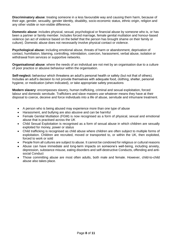**Discriminatory abuse**: treating someone in a less favourable way and causing them harm, because of their age, gender, sexuality, gender identity, disability, socio-economic status, ethnic origin, religion and any other visible or non-visible difference.

**Domestic abuse**: includes physical, sexual, psychological or financial abuse by someone who is, or has been a partner or family member. Includes forced marriage, female genital mutilation and honour-based violence (an act of violence based on the belief that the person has brought shame on their family or culture). Domestic abuse does not necessarily involve physical contact or violence.

**Psychological abuse:** including emotional abuse, threats of harm or abandonment, deprivation of contact, humiliation, blaming, controlling, intimidation, coercion, harassment, verbal abuse, isolation or withdrawal from services or supportive networks.

**Organisational abuse**: where the needs of an individual are not met by an organisation due to a culture of poor practice or abusive behaviour within the organisation.

**Self-neglect:** behaviour which threatens an adult's personal health or safety (but not that of others). Includes an adult's decision to not provide themselves with adequate food, clothing, shelter, personal hygiene, or medication (when indicated), or take appropriate safety precautions

**Modern slavery**: encompasses slavery, human trafficking, criminal and sexual exploitation, forced labour and domestic servitude. Traffickers and slave masters use whatever means they have at their disposal to coerce, deceive and force individuals into a life of abuse, servitude and inhumane treatment.

- A person who is being abused may experience more than one type of abuse
- Harassment, and bullying are also abusive and can be harmful
- Female Genital Mutilation (FGM) is now recognised as a form of physical, sexual and emotional abuse that is practised across the UK
- Child Sexual Exploitation is recognised as a form of sexual abuse in which children are sexually exploited for money, power or status
- Child trafficking is recognised as child abuse where children are often subject to multiple forms of exploitation. Children are recruited, moved or transported to, or within the UK, then exploited, forced to work or sold
- People from all cultures are subject to abuse. It cannot be condoned for religious or cultural reasons
- Abuse can have immediate and long-term impacts on someone's well-being, including anxiety, depression, substance misuse, eating disorders and self-destructive Conducts, offending and antisocial Conduct
- Those committing abuse are most often adults, both male and female. However, child-to-child abuse also takes place.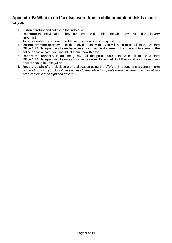## **Appendix B: What to do if a disclosure from a child or adult at risk is made to you:**

- 1. **Listen** carefully and calmly to the individual
- 2. **Reassure** the individual that they have done the right thing and what they have told you is very important
- 3. **Avoid questioning** where possible, and never ask leading questions
- 4. **Do not promise secrecy**. Let the individual know that you will need to speak to the Welfare Officer/LTA Safeguarding Team because it is in their best interest. If you intend to speak to the police or social care, you should let them know this too.
- 5. **Report the concern.** In an emergency, call the police (999), otherwise talk to the Welfare Officer/LTA Safeguarding Team as soon as possible. Do not let doubt/personal bias prevent you from reporting the allegation
- **6. Record** details of the disclosure and allegation using the LTA's online reporting a concern form within 24 hours*. If you do not have access to the online form, write down the details using what you have available then sign and date it.*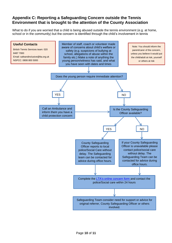## **Appendix C: Reporting a Safeguarding Concern outside the Tennis Environment that is brought to the attention of the County Association**

What to do if you are worried that a child is being abused outside the tennis environment (e.g. at home, school or in the community) but the concern is identified through the child's involvement in tennis